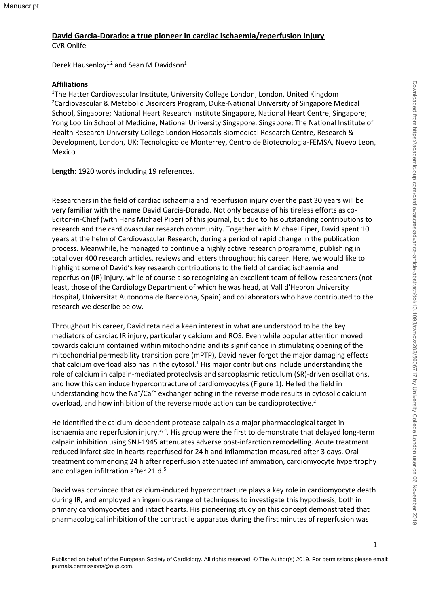# **David Garcia-Dorado: a true pioneer in cardiac ischaemia/reperfusion injury**

CVR Onlife

Derek Hausenloy<sup>1,2</sup> and Sean M Davidson<sup>1</sup>

#### **Affiliations**

<sup>1</sup>The Hatter Cardiovascular Institute, University College London, London, United Kingdom <sup>2</sup>Cardiovascular & Metabolic Disorders Program, Duke-National University of Singapore Medical School, Singapore; National Heart Research Institute Singapore, National Heart Centre, Singapore; Yong Loo Lin School of Medicine, National University Singapore, Singapore; The National Institute of Health Research University College London Hospitals Biomedical Research Centre, Research & Development, London, UK; Tecnologico de Monterrey, Centro de Biotecnologia-FEMSA, Nuevo Leon, Mexico

**Length**: 1920 words including 19 references.

Researchers in the field of cardiac ischaemia and reperfusion injury over the past 30 years will be very familiar with the name David Garcia-Dorado. Not only because of his tireless efforts as co-Editor-in-Chief (with Hans Michael Piper) of this journal, but due to his outstanding contributions to research and the cardiovascular research community. Together with Michael Piper, David spent 10 years at the helm of Cardiovascular Research, during a period of rapid change in the publication process. Meanwhile, he managed to continue a highly active research programme, publishing in total over 400 research articles, reviews and letters throughout his career. Here, we would like to highlight some of David's key research contributions to the field of cardiac ischaemia and reperfusion (IR) injury, while of course also recognizing an excellent team of fellow researchers (not least, those of the Cardiology Department of which he was head, at Vall d'Hebron University Hospital, Universitat Autonoma de Barcelona, Spain) and collaborators who have contributed to the research we describe below.

Throughout his career, David retained a keen interest in what are understood to be the key mediators of cardiac IR injury, particularly calcium and ROS. Even while popular attention moved towards calcium contained within mitochondria and its significance in stimulating opening of the mitochondrial permeability transition pore (mPTP), David never forgot the major damaging effects that calcium overload also has in the cytosol. $1$  His major contributions include understanding the role of calcium in calpain-mediated proteolysis and sarcoplasmic reticulum (SR)-driven oscillations, and how this can induce hypercontracture of cardiomyocytes (Figure 1). He led the field in understanding how the Na<sup>+</sup>/Ca<sup>2+</sup> exchanger acting in the reverse mode results in cytosolic calcium overload, and how inhibition of the reverse mode action can be cardioprotective. 2

He identified the calcium-dependent protease calpain as a major pharmacological target in ischaemia and reperfusion injury.<sup>3,4</sup>. His group were the first to demonstrate that delayed long-term calpain inhibition using SNJ-1945 attenuates adverse post-infarction remodelling. Acute treatment reduced infarct size in hearts reperfused for 24 h and inflammation measured after 3 days. Oral treatment commencing 24 h after reperfusion attenuated inflammation, cardiomyocyte hypertrophy and collagen infiltration after 21 d.<sup>5</sup>

David was convinced that calcium-induced hypercontracture plays a key role in cardiomyocyte death during IR, and employed an ingenious range of techniques to investigate this hypothesis, both in primary cardiomyocytes and intact hearts. His pioneering study on this concept demonstrated that pharmacological inhibition of the contractile apparatus during the first minutes of reperfusion was

1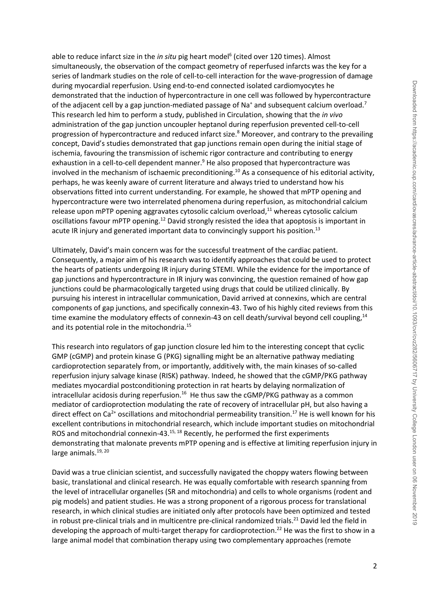able to reduce infarct size in the *in situ* pig heart model<sup>6</sup> (cited over 120 times). Almost simultaneously, the observation of the compact geometry of reperfused infarcts was the key for a series of landmark studies on the role of cell-to-cell interaction for the wave-progression of damage during myocardial reperfusion. Using end-to-end connected isolated cardiomyocytes he demonstrated that the induction of hypercontracture in one cell was followed by hypercontracture of the adjacent cell by a gap junction-mediated passage of Na<sup>+</sup> and subsequent calcium overload.<sup>7</sup> This research led him to perform a study, published in Circulation, showing that the *in vivo* administration of the gap junction uncoupler heptanol during reperfusion prevented cell-to-cell progression of hypercontracture and reduced infarct size.<sup>8</sup> Moreover, and contrary to the prevailing concept, David's studies demonstrated that gap junctions remain open during the initial stage of ischemia, favouring the transmission of ischemic rigor contracture and contributing to energy exhaustion in a cell-to-cell dependent manner.<sup>9</sup> He also proposed that hypercontracture was involved in the mechanism of ischaemic preconditioning. <sup>10</sup> As a consequence of his editorial activity, perhaps, he was keenly aware of current literature and always tried to understand how his observations fitted into current understanding. For example, he showed that mPTP opening and hypercontracture were two interrelated phenomena during reperfusion, as mitochondrial calcium release upon mPTP opening aggravates cytosolic calcium overload,<sup>11</sup> whereas cytosolic calcium oscillations favour mPTP opening.<sup>12</sup> David strongly resisted the idea that apoptosis is important in acute IR injury and generated important data to convincingly support his position.<sup>13</sup>

Ultimately, David's main concern was for the successful treatment of the cardiac patient. Consequently, a major aim of his research was to identify approaches that could be used to protect the hearts of patients undergoing IR injury during STEMI. While the evidence for the importance of gap junctions and hypercontracture in IR injury was convincing, the question remained of how gap junctions could be pharmacologically targeted using drugs that could be utilized clinically. By pursuing his interest in intracellular communication, David arrived at connexins, which are central components of gap junctions, and specifically connexin-43. Two of his highly cited reviews from this time examine the modulatory effects of connexin-43 on cell death/survival beyond cell coupling,<sup>14</sup> and its potential role in the mitochondria.<sup>15</sup>

This research into regulators of gap junction closure led him to the interesting concept that cyclic GMP (cGMP) and protein kinase G (PKG) signalling might be an alternative pathway mediating cardioprotection separately from, or importantly, additively with, the main kinases of so-called reperfusion injury salvage kinase (RISK) pathway. Indeed, he showed that the cGMP/PKG pathway mediates myocardial postconditioning protection in rat hearts by delaying normalization of intracellular acidosis during reperfusion.<sup>16</sup> He thus saw the cGMP/PKG pathway as a common mediator of cardioprotection modulating the rate of recovery of intracellular pH, but also having a direct effect on Ca<sup>2+</sup> oscillations and mitochondrial permeability transition.<sup>17</sup> He is well known for his excellent contributions in mitochondrial research, which include important studies on mitochondrial ROS and mitochondrial connexin-43.<sup>15, 18</sup> Recently, he performed the first experiments demonstrating that malonate prevents mPTP opening and is effective at limiting reperfusion injury in large animals.<sup>19, 20</sup>

David was a true clinician scientist, and successfully navigated the choppy waters flowing between basic, translational and clinical research. He was equally comfortable with research spanning from the level of intracellular organelles (SR and mitochondria) and cells to whole organisms (rodent and pig models) and patient studies. He was a strong proponent of a rigorous process for translational research, in which clinical studies are initiated only after protocols have been optimized and tested in robust pre-clinical trials and in multicentre pre-clinical randomized trials.<sup>21</sup> David led the field in developing the approach of multi-target therapy for cardioprotection. <sup>22</sup> He was the first to show in a large animal model that combination therapy using two complementary approaches (remote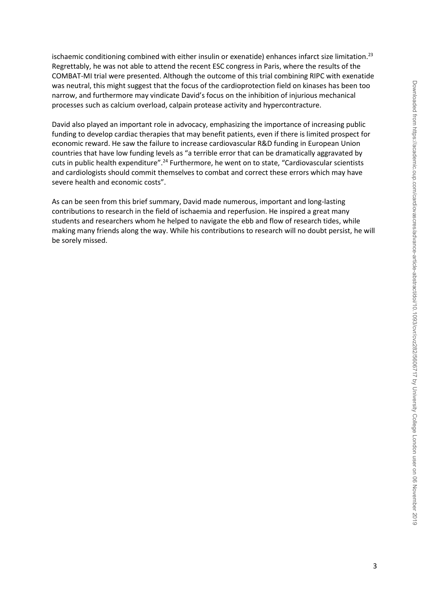ischaemic conditioning combined with either insulin or exenatide) enhances infarct size limitation.<sup>23</sup> Regrettably, he was not able to attend the recent ESC congress in Paris, where the results of the COMBAT-MI trial were presented. Although the outcome of this trial combining RIPC with exenatide was neutral, this might suggest that the focus of the cardioprotection field on kinases has been too narrow, and furthermore may vindicate David's focus on the inhibition of injurious mechanical processes such as calcium overload, calpain protease activity and hypercontracture.

David also played an important role in advocacy, emphasizing the importance of increasing public funding to develop cardiac therapies that may benefit patients, even if there is limited prospect for economic reward. He saw the failure to increase cardiovascular R&D funding in European Union countries that have low funding levels as "a terrible error that can be dramatically aggravated by cuts in public health expenditure".<sup>24</sup> Furthermore, he went on to state, "Cardiovascular scientists and cardiologists should commit themselves to combat and correct these errors which may have severe health and economic costs".

As can be seen from this brief summary, David made numerous, important and long-lasting contributions to research in the field of ischaemia and reperfusion. He inspired a great many students and researchers whom he helped to navigate the ebb and flow of research tides, while making many friends along the way. While his contributions to research will no doubt persist, he will be sorely missed.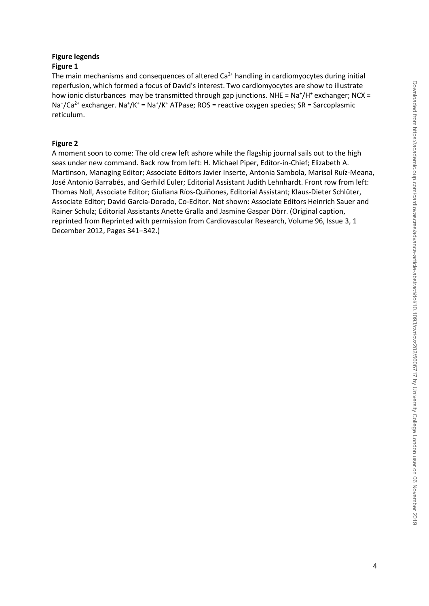### **Figure legends Figure 1**

The main mechanisms and consequences of altered  $Ca<sup>2+</sup>$  handling in cardiomyocytes during initial reperfusion, which formed a focus of David's interest. Two cardiomyocytes are show to illustrate how ionic disturbances may be transmitted through gap junctions. NHE = Na<sup>+</sup>/H<sup>+</sup> exchanger; NCX = Na<sup>+</sup>/Ca<sup>2+</sup> exchanger. Na<sup>+</sup>/K<sup>+</sup> = Na<sup>+</sup>/K<sup>+</sup> ATPase; ROS = reactive oxygen species; SR = Sarcoplasmic reticulum.

## **Figure 2**

A moment soon to come: The old crew left ashore while the flagship journal sails out to the high seas under new command. Back row from left: H. Michael Piper, Editor-in-Chief; Elizabeth A. Martinson, Managing Editor; Associate Editors Javier Inserte, Antonia Sambola, Marisol Ruíz-Meana, José Antonio Barrabés, and Gerhild Euler; Editorial Assistant Judith Lehnhardt. Front row from left: Thomas Noll, Associate Editor; Giuliana Ríos-Quiñones, Editorial Assistant; Klaus-Dieter Schlüter, Associate Editor; David Garcia-Dorado, Co-Editor. Not shown: Associate Editors Heinrich Sauer and Rainer Schulz; Editorial Assistants Anette Gralla and Jasmine Gaspar Dörr. (Original caption, reprinted from Reprinted with permission from Cardiovascular Research, Volume 96, Issue 3, 1 December 2012, Pages 341–342.)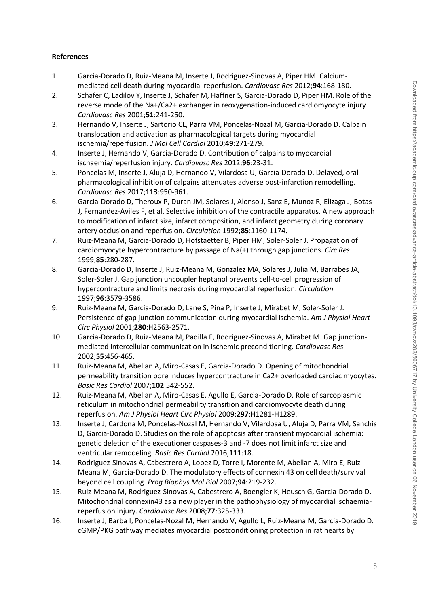#### **References**

- 1. Garcia-Dorado D, Ruiz-Meana M, Inserte J, Rodriguez-Sinovas A, Piper HM. Calciummediated cell death during myocardial reperfusion. *Cardiovasc Res* 2012;**94**:168-180.
- 2. Schafer C, Ladilov Y, Inserte J, Schafer M, Haffner S, Garcia-Dorado D, Piper HM. Role of the reverse mode of the Na+/Ca2+ exchanger in reoxygenation-induced cardiomyocyte injury. *Cardiovasc Res* 2001;**51**:241-250.
- 3. Hernando V, Inserte J, Sartorio CL, Parra VM, Poncelas-Nozal M, Garcia-Dorado D. Calpain translocation and activation as pharmacological targets during myocardial ischemia/reperfusion. *J Mol Cell Cardiol* 2010;**49**:271-279.
- 4. Inserte J, Hernando V, Garcia-Dorado D. Contribution of calpains to myocardial ischaemia/reperfusion injury. *Cardiovasc Res* 2012;**96**:23-31.
- 5. Poncelas M, Inserte J, Aluja D, Hernando V, Vilardosa U, Garcia-Dorado D. Delayed, oral pharmacological inhibition of calpains attenuates adverse post-infarction remodelling. *Cardiovasc Res* 2017;**113**:950-961.
- 6. Garcia-Dorado D, Theroux P, Duran JM, Solares J, Alonso J, Sanz E, Munoz R, Elizaga J, Botas J, Fernandez-Aviles F, et al. Selective inhibition of the contractile apparatus. A new approach to modification of infarct size, infarct composition, and infarct geometry during coronary artery occlusion and reperfusion. *Circulation* 1992;**85**:1160-1174.
- 7. Ruiz-Meana M, Garcia-Dorado D, Hofstaetter B, Piper HM, Soler-Soler J. Propagation of cardiomyocyte hypercontracture by passage of Na(+) through gap junctions. *Circ Res*  1999;**85**:280-287.
- 8. Garcia-Dorado D, Inserte J, Ruiz-Meana M, Gonzalez MA, Solares J, Julia M, Barrabes JA, Soler-Soler J. Gap junction uncoupler heptanol prevents cell-to-cell progression of hypercontracture and limits necrosis during myocardial reperfusion. *Circulation*  1997;**96**:3579-3586.
- 9. Ruiz-Meana M, Garcia-Dorado D, Lane S, Pina P, Inserte J, Mirabet M, Soler-Soler J. Persistence of gap junction communication during myocardial ischemia. *Am J Physiol Heart Circ Physiol* 2001;**280**:H2563-2571.
- 10. Garcia-Dorado D, Ruiz-Meana M, Padilla F, Rodriguez-Sinovas A, Mirabet M. Gap junctionmediated intercellular communication in ischemic preconditioning. *Cardiovasc Res*  2002;**55**:456-465.
- 11. Ruiz-Meana M, Abellan A, Miro-Casas E, Garcia-Dorado D. Opening of mitochondrial permeability transition pore induces hypercontracture in Ca2+ overloaded cardiac myocytes. *Basic Res Cardiol* 2007;**102**:542-552.
- 12. Ruiz-Meana M, Abellan A, Miro-Casas E, Agullo E, Garcia-Dorado D. Role of sarcoplasmic reticulum in mitochondrial permeability transition and cardiomyocyte death during reperfusion. *Am J Physiol Heart Circ Physiol* 2009;**297**:H1281-H1289.
- 13. Inserte J, Cardona M, Poncelas-Nozal M, Hernando V, Vilardosa U, Aluja D, Parra VM, Sanchis D, Garcia-Dorado D. Studies on the role of apoptosis after transient myocardial ischemia: genetic deletion of the executioner caspases-3 and -7 does not limit infarct size and ventricular remodeling. *Basic Res Cardiol* 2016;**111**:18.
- 14. Rodriguez-Sinovas A, Cabestrero A, Lopez D, Torre I, Morente M, Abellan A, Miro E, Ruiz-Meana M, Garcia-Dorado D. The modulatory effects of connexin 43 on cell death/survival beyond cell coupling. *Prog Biophys Mol Biol* 2007;**94**:219-232.
- 15. Ruiz-Meana M, Rodriguez-Sinovas A, Cabestrero A, Boengler K, Heusch G, Garcia-Dorado D. Mitochondrial connexin43 as a new player in the pathophysiology of myocardial ischaemiareperfusion injury. *Cardiovasc Res* 2008;**77**:325-333.
- 16. Inserte J, Barba I, Poncelas-Nozal M, Hernando V, Agullo L, Ruiz-Meana M, Garcia-Dorado D. cGMP/PKG pathway mediates myocardial postconditioning protection in rat hearts by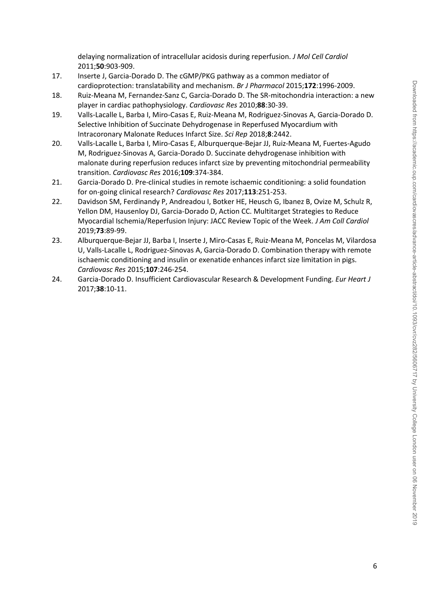delaying normalization of intracellular acidosis during reperfusion. *J Mol Cell Cardiol*  2011;**50**:903-909.

- 17. Inserte J, Garcia-Dorado D. The cGMP/PKG pathway as a common mediator of cardioprotection: translatability and mechanism. *Br J Pharmacol* 2015;**172**:1996-2009.
- 18. Ruiz-Meana M, Fernandez-Sanz C, Garcia-Dorado D. The SR-mitochondria interaction: a new player in cardiac pathophysiology. *Cardiovasc Res* 2010;**88**:30-39.
- 19. Valls-Lacalle L, Barba I, Miro-Casas E, Ruiz-Meana M, Rodriguez-Sinovas A, Garcia-Dorado D. Selective Inhibition of Succinate Dehydrogenase in Reperfused Myocardium with Intracoronary Malonate Reduces Infarct Size. *Sci Rep* 2018;**8**:2442.
- 20. Valls-Lacalle L, Barba I, Miro-Casas E, Alburquerque-Bejar JJ, Ruiz-Meana M, Fuertes-Agudo M, Rodriguez-Sinovas A, Garcia-Dorado D. Succinate dehydrogenase inhibition with malonate during reperfusion reduces infarct size by preventing mitochondrial permeability transition. *Cardiovasc Res* 2016;**109**:374-384.
- 21. Garcia-Dorado D. Pre-clinical studies in remote ischaemic conditioning: a solid foundation for on-going clinical research? *Cardiovasc Res* 2017;**113**:251-253.
- 22. Davidson SM, Ferdinandy P, Andreadou I, Botker HE, Heusch G, Ibanez B, Ovize M, Schulz R, Yellon DM, Hausenloy DJ, Garcia-Dorado D, Action CC. Multitarget Strategies to Reduce Myocardial Ischemia/Reperfusion Injury: JACC Review Topic of the Week. *J Am Coll Cardiol*  2019;**73**:89-99.
- 23. Alburquerque-Bejar JJ, Barba I, Inserte J, Miro-Casas E, Ruiz-Meana M, Poncelas M, Vilardosa U, Valls-Lacalle L, Rodriguez-Sinovas A, Garcia-Dorado D. Combination therapy with remote ischaemic conditioning and insulin or exenatide enhances infarct size limitation in pigs. *Cardiovasc Res* 2015;**107**:246-254.
- 24. Garcia-Dorado D. Insufficient Cardiovascular Research & Development Funding. *Eur Heart J*  2017;**38**:10-11.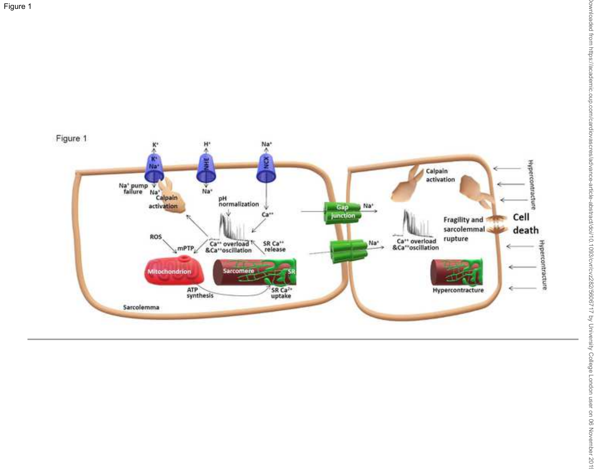